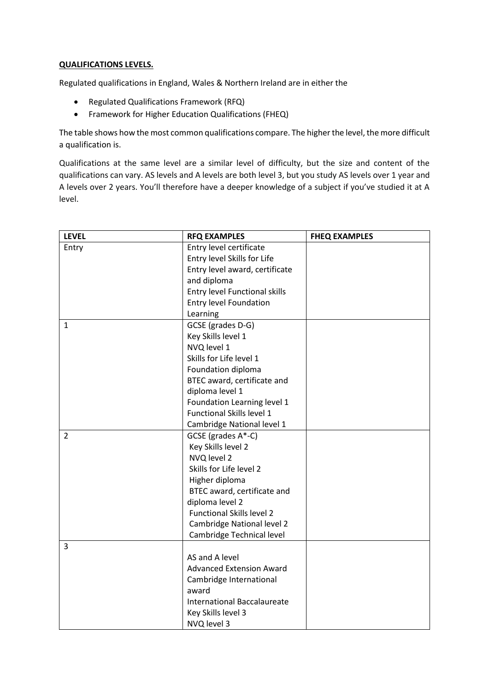## **QUALIFICATIONS LEVELS.**

Regulated qualifications in England, Wales & Northern Ireland are in either the

- Regulated Qualifications Framework (RFQ)
- Framework for Higher Education Qualifications (FHEQ)

The table shows how the most common qualifications compare. The higher the level, the more difficult a qualification is.

Qualifications at the same level are a similar level of difficulty, but the size and content of the qualifications can vary. AS levels and A levels are both level 3, but you study AS levels over 1 year and A levels over 2 years. You'll therefore have a deeper knowledge of a subject if you've studied it at A level.

| <b>LEVEL</b>   | <b>RFQ EXAMPLES</b>                | <b>FHEQ EXAMPLES</b> |
|----------------|------------------------------------|----------------------|
| Entry          | Entry level certificate            |                      |
|                | Entry level Skills for Life        |                      |
|                | Entry level award, certificate     |                      |
|                | and diploma                        |                      |
|                | Entry level Functional skills      |                      |
|                | <b>Entry level Foundation</b>      |                      |
|                | Learning                           |                      |
| $\mathbf{1}$   | GCSE (grades D-G)                  |                      |
|                | Key Skills level 1                 |                      |
|                | NVQ level 1                        |                      |
|                | Skills for Life level 1            |                      |
|                | Foundation diploma                 |                      |
|                | BTEC award, certificate and        |                      |
|                | diploma level 1                    |                      |
|                | Foundation Learning level 1        |                      |
|                | Functional Skills level 1          |                      |
|                | Cambridge National level 1         |                      |
| $\overline{2}$ | GCSE (grades A*-C)                 |                      |
|                | Key Skills level 2                 |                      |
|                | NVQ level 2                        |                      |
|                | Skills for Life level 2            |                      |
|                | Higher diploma                     |                      |
|                | BTEC award, certificate and        |                      |
|                | diploma level 2                    |                      |
|                | <b>Functional Skills level 2</b>   |                      |
|                | Cambridge National level 2         |                      |
|                | Cambridge Technical level          |                      |
| 3              |                                    |                      |
|                | AS and A level                     |                      |
|                | <b>Advanced Extension Award</b>    |                      |
|                | Cambridge International            |                      |
|                | award                              |                      |
|                | <b>International Baccalaureate</b> |                      |
|                | Key Skills level 3                 |                      |
|                | NVQ level 3                        |                      |